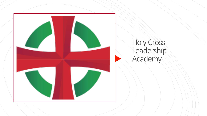

## Holy Cross Leadership Academy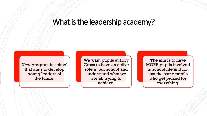#### What is the leadership academy?

New program in school that aims to develop young leaders of the future.

We want pupils at Holy Cross to have an active role in our school and understand what we are all trying to achieve.

The aim is to have MORE pupils involved in school life and not just the same pupils who get picked for everything.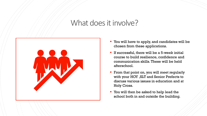### What does it involve?



- You will have to apply, and candidates will be chosen from these applications.
- **If successful, there will be a 5-week initial** course to build resilience, confidence and communication skills. These will be held afterschool.
- **From that point on, you will meet regularly** with your HOY ,SLT and Senior Prefects to discuss various issues in education and at Holy Cross.
- You will then be asked to help lead the school both in and outside the building.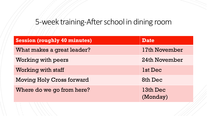# 5-week training-After school in dining room

| <b>Session (roughly 40 minutes)</b> | <b>Date</b>          |
|-------------------------------------|----------------------|
| What makes a great leader?          | 17th November        |
| <b>Working with peers</b>           | 24th November        |
| <b>Working with staff</b>           | 1st Dec              |
| <b>Moving Holy Cross forward</b>    | 8th Dec              |
| Where do we go from here?           | 13th Dec<br>(Monday) |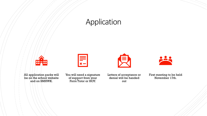## Application



All application packs will be on the school website and on SMHWK.



You will need a signature of support from your Form Tutor or HOY.

Letters of acceptance or denial will be handed out

First meeting to be held November 17th.